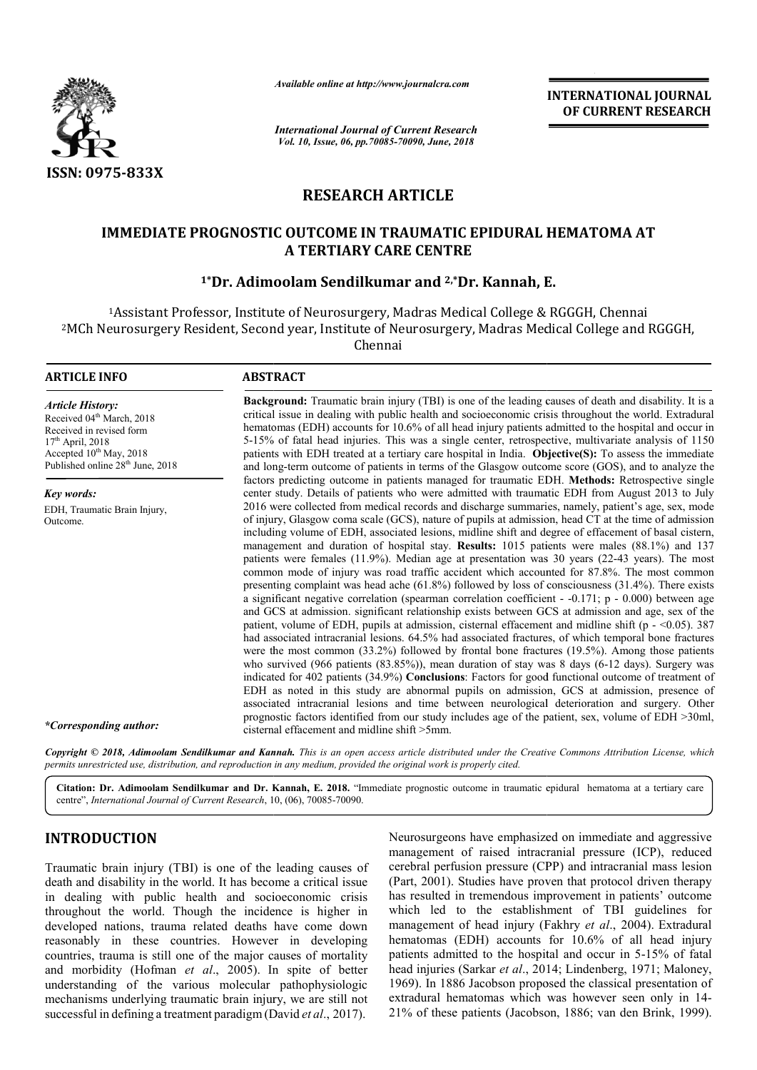

*Available online at http://www.journalcra.com*

*International Journal of Current Research Vol. 10, Issue, 06, pp.70085-70090, June, 2018*

**INTERNATIONAL JOURNAL OF CURRENT RESEARCH**

# **RESEARCH ARTICLE**

### **IMMEDIATE PROGNOSTIC OUTCOME IN TRAUMATIC EPIDURAL HEMATOMA AT A TERTIARY CARE CENTRE**

## <sup>1</sup>\*Dr. Adimoolam Sendilkumar and <sup>2,</sup>\*Dr. Kannah, E.

<sup>1</sup> Assistant Professor, Institute of Neurosurgery, Madras Medical College & RGGGH, Chennai 2MCh Neurosurgery Resident, Second year, Institute of Neurosurgery, Madras Medical College MCh Chennai <sup>1</sup>Assistant Professor, Institute of Neurosurgery, Madras Medical College & RGGGH, Chennai<br>Neurosurgery Resident, Second year, Institute of Neurosurgery, Madras Medical College and RGGGH,

| <b>ARTICLE INFO</b>                                                                                                                                                                                       | <b>ABSTRACT</b>                                                                                                                                                                                                                                                                                                                                                                                                                                                                                                                                                                                                                                                                                                                                                                                                                                                                                                                                                                                                                                                                                                                                                                                                                                                                                                                                                                                                                                                                                                                                                                                                                                                                                                                                                                                                                                                           |  |
|-----------------------------------------------------------------------------------------------------------------------------------------------------------------------------------------------------------|---------------------------------------------------------------------------------------------------------------------------------------------------------------------------------------------------------------------------------------------------------------------------------------------------------------------------------------------------------------------------------------------------------------------------------------------------------------------------------------------------------------------------------------------------------------------------------------------------------------------------------------------------------------------------------------------------------------------------------------------------------------------------------------------------------------------------------------------------------------------------------------------------------------------------------------------------------------------------------------------------------------------------------------------------------------------------------------------------------------------------------------------------------------------------------------------------------------------------------------------------------------------------------------------------------------------------------------------------------------------------------------------------------------------------------------------------------------------------------------------------------------------------------------------------------------------------------------------------------------------------------------------------------------------------------------------------------------------------------------------------------------------------------------------------------------------------------------------------------------------------|--|
| <b>Article History:</b><br>Received 04 <sup>th</sup> March, 2018<br>Received in revised form<br>$17th$ April, 2018<br>Accepted 10 <sup>th</sup> May, 2018<br>Published online 28 <sup>th</sup> June, 2018 | <b>Background:</b> Traumatic brain injury (TBI) is one of the leading causes of death and disability. It is a<br>critical issue in dealing with public health and socioeconomic crisis throughout the world. Extradural<br>hematomas (EDH) accounts for 10.6% of all head injury patients admitted to the hospital and occur in<br>5-15% of fatal head injuries. This was a single center, retrospective, multivariate analysis of 1150<br>patients with EDH treated at a tertiary care hospital in India. Objective(S): To assess the immediate<br>and long-term outcome of patients in terms of the Glasgow outcome score (GOS), and to analyze the                                                                                                                                                                                                                                                                                                                                                                                                                                                                                                                                                                                                                                                                                                                                                                                                                                                                                                                                                                                                                                                                                                                                                                                                                     |  |
| Key words:                                                                                                                                                                                                | factors predicting outcome in patients managed for traumatic EDH. Methods: Retrospective single<br>center study. Details of patients who were admitted with traumatic EDH from August 2013 to July                                                                                                                                                                                                                                                                                                                                                                                                                                                                                                                                                                                                                                                                                                                                                                                                                                                                                                                                                                                                                                                                                                                                                                                                                                                                                                                                                                                                                                                                                                                                                                                                                                                                        |  |
| EDH, Traumatic Brain Injury,<br>Outcome.                                                                                                                                                                  | 2016 were collected from medical records and discharge summaries, namely, patient's age, sex, mode<br>of injury, Glasgow coma scale (GCS), nature of pupils at admission, head CT at the time of admission<br>including volume of EDH, associated lesions, midline shift and degree of effacement of basal cistern,<br>management and duration of hospital stay. Results: 1015 patients were males (88.1%) and 137<br>patients were females (11.9%). Median age at presentation was 30 years (22-43 years). The most<br>common mode of injury was road traffic accident which accounted for 87.8%. The most common<br>presenting complaint was head ache $(61.8\%)$ followed by loss of consciousness $(31.4\%)$ . There exists<br>a significant negative correlation (spearman correlation coefficient - $-0.171$ ; p - 0.000) between age<br>and GCS at admission. significant relationship exists between GCS at admission and age, sex of the<br>patient, volume of EDH, pupils at admission, cisternal effacement and midline shift ( $p \sim 0.05$ ). 387<br>had associated intracranial lesions. 64.5% had associated fractures, of which temporal bone fractures<br>were the most common $(33.2\%)$ followed by frontal bone fractures $(19.5\%)$ . Among those patients<br>who survived $(966 \text{ patients } (83.85\%))$ , mean duration of stay was 8 days $(6-12 \text{ days})$ . Surgery was<br>indicated for 402 patients (34.9%) Conclusions: Factors for good functional outcome of treatment of<br>EDH as noted in this study are abnormal pupils on admission, GCS at admission, presence of<br>associated intracranial lesions and time between neurological deterioration and surgery. Other<br>prognostic factors identified from our study includes age of the patient, sex, volume of EDH >30ml,<br>cisternal effacement and midline shift >5mm. |  |
| *Corresponding author:                                                                                                                                                                                    | Copyright © 2018, Adimoolam Sendilkumar and Kannah. This is an open access article distributed under the Creative Commons Attribution License, which                                                                                                                                                                                                                                                                                                                                                                                                                                                                                                                                                                                                                                                                                                                                                                                                                                                                                                                                                                                                                                                                                                                                                                                                                                                                                                                                                                                                                                                                                                                                                                                                                                                                                                                      |  |

permits unrestricted use, distribution, and reproduction in any medium, provided the original work is properly cited.

Citation: Dr. Adimoolam Sendilkumar and Dr. Kannah, E. 2018. "Immediate prognostic outcome in traumatic epidural hematoma at a tertiary care centre", *International Journal of Current Research*, 10 10, (06), 70085-70090.

## **INTRODUCTION**

Traumatic brain injury (TBI) is one of the leading causes of death and disability in the world. It has become a critical issue in dealing with public health and socioeconomic crisis throughout the world. Though the incidence is higher in developed nations, trauma related deaths have come down reasonably in these countries. However in developing countries, trauma is still one of the major causes of mortality and morbidity (Hofman *et al*., 2005). In spite of better understanding of the various molecular pathophysiologic mechanisms underlying traumatic brain injury, we are still not successful in defining a treatment paradigm (David David *et al*., 2017).

Neurosurgeons have emphasized on immediate and aggressive management of raised intracranial pressure (ICP), reduced cerebral perfusion pressure (CPP) and intracranial mass lesion (Part, 2001). Studies have proven that protocol driven therapy has resulted in tremendous improvement in patients' outcome which led to the establishment of TBI guidelines for management of head injury (Fakhry et al., 2004). Extradural hematomas (EDH) accounts for 10.6% of all head injury hematomas (EDH) accounts for 10.6% of all head injury patients admitted to the hospital and occur in 5-15% of fatal head injuries (Sarkar *et al*., 2014; Lindenberg, 1971; Maloney, 1969). In 1886 Jacobson proposed the classical presentation of 1969). In 1886 Jacobson proposed the classical presentation of extradural hematomas which was however seen only in 14-21% of these patients (Jacobson Jacobson, 1886; van den Brink, 1999). regeons have emphasized on immediate and aggressive<br>nent of raised intracranial pressure (ICP), reduced<br>perfusion pressure (CPP) and intracranial mass lesion<br>01). Studies have proven that protocol driven therapy<br>lted in tr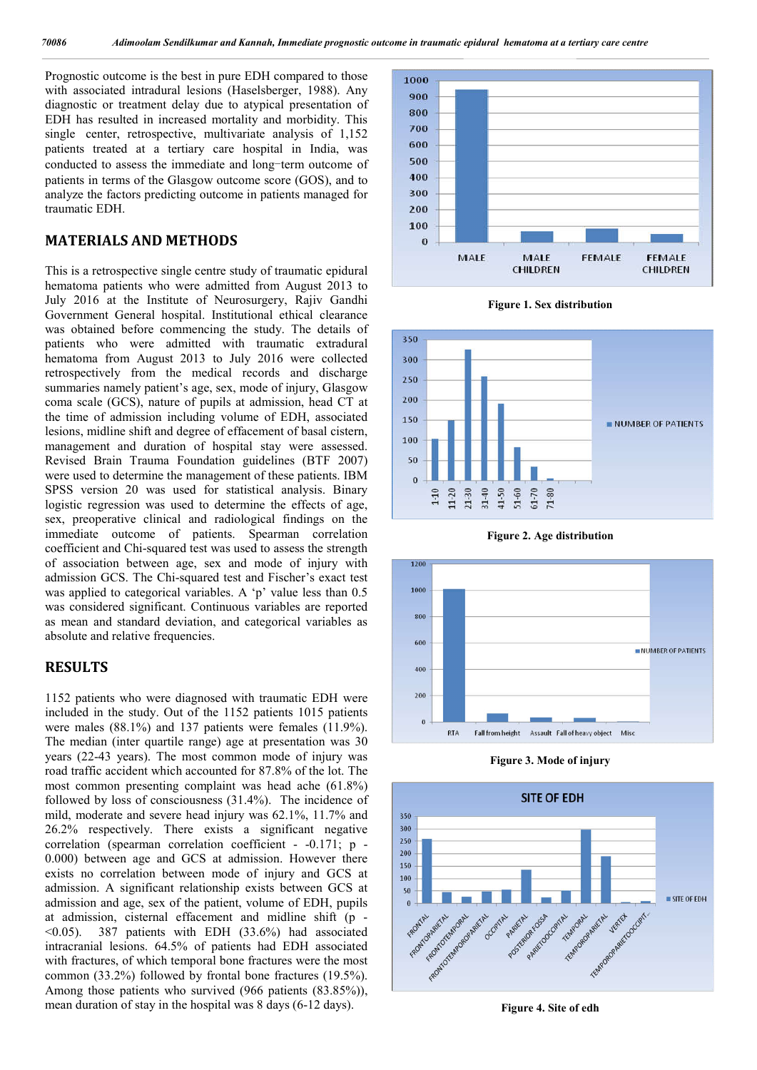Prognostic outcome is the best in pure EDH compared to those with associated intradural lesions (Haselsberger, 1988). Any diagnostic or treatment delay due to atypical presentation of EDH has resulted in increased mortality and morbidity. This single center, retrospective, multivariate analysis of 1,152 patients treated at a tertiary care hospital in India, was conducted to assess the immediate and long-term outcome of patients in terms of the Glasgow outcome score (GOS), and to analyze the factors predicting outcome in patients managed for traumatic EDH.

### **MATERIALS AND METHODS**

This is a retrospective single centre study of traumatic epidural hematoma patients who were admitted from August 2013 to July 2016 at the Institute of Neurosurgery, Rajiv Gandhi Government General hospital. Institutional ethical clearance was obtained before commencing the study. The details of patients who were admitted with traumatic extradural hematoma from August 2013 to July 2016 were collected retrospectively from the medical records and discharge summaries namely patient's age, sex, mode of injury, Glasgow coma scale (GCS), nature of pupils at admission, head CT at the time of admission including volume of EDH, associated lesions, midline shift and degree of effacement of basal cistern, management and duration of hospital stay were assessed. Revised Brain Trauma Foundation guidelines (BTF 2007) were used to determine the management of these patients. IBM SPSS version 20 was used for statistical analysis. Binary logistic regression was used to determine the effects of age, sex, preoperative clinical and radiological findings on the immediate outcome of patients. Spearman correlation coefficient and Chi-squared test was used to assess the strength of association between age, sex and mode of injury with admission GCS. The Chi-squared test and Fischer's exact test was applied to categorical variables. A 'p' value less than 0.5 was considered significant. Continuous variables are reported as mean and standard deviation, and categorical variables as absolute and relative frequencies.

### **RESULTS**

1152 patients who were diagnosed with traumatic EDH were included in the study. Out of the 1152 patients 1015 patients were males (88.1%) and 137 patients were females (11.9%). The median (inter quartile range) age at presentation was 30 years (22-43 years). The most common mode of injury was road traffic accident which accounted for 87.8% of the lot. The most common presenting complaint was head ache (61.8%) followed by loss of consciousness (31.4%). The incidence of mild, moderate and severe head injury was 62.1%, 11.7% and 26.2% respectively. There exists a significant negative correlation (spearman correlation coefficient - -0.171; p - 0.000) between age and GCS at admission. However there exists no correlation between mode of injury and GCS at admission. A significant relationship exists between GCS at admission and age, sex of the patient, volume of EDH, pupils at admission, cisternal effacement and midline shift (p -  $(0.05)$ . 387 patients with EDH  $(33.6\%)$  had associated intracranial lesions. 64.5% of patients had EDH associated with fractures, of which temporal bone fractures were the most common (33.2%) followed by frontal bone fractures (19.5%). Among those patients who survived (966 patients (83.85%)), mean duration of stay in the hospital was 8 days (6-12 days).



**Figure 1. Sex distribution**



**Figure 2. Age distribution**



**Figure 3. Mode of injury**



**Figure 4. Site of edh**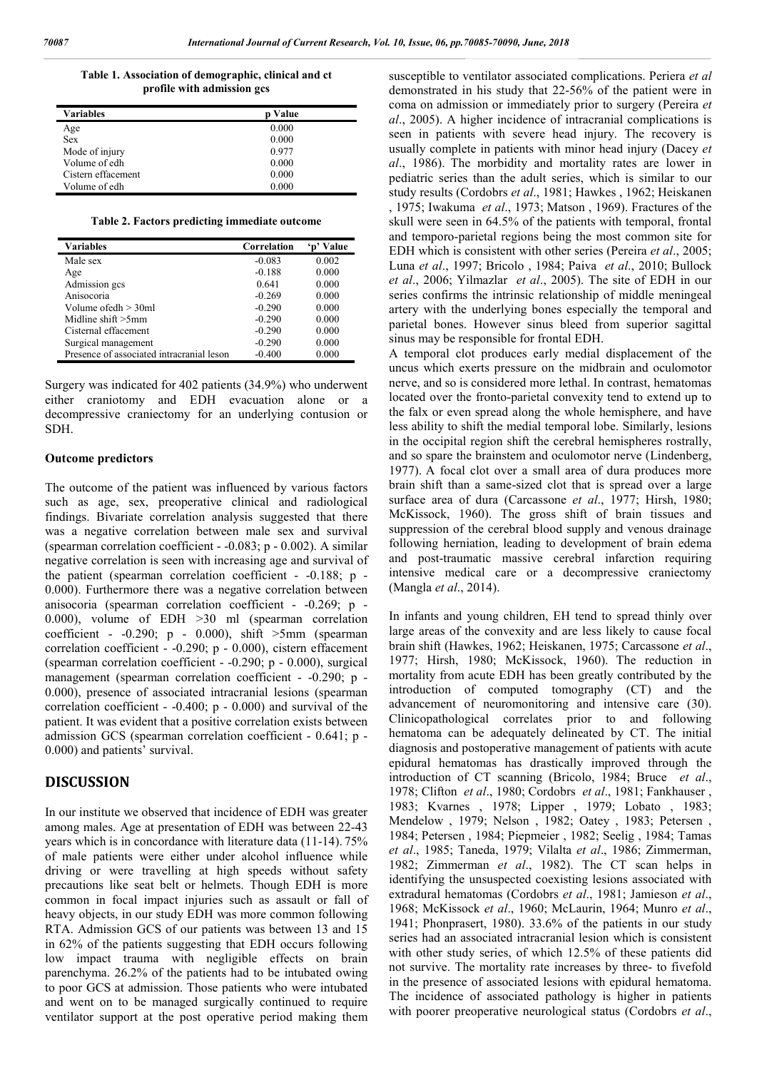**Table 1. Association of demographic, clinical and ct profile with admission gcs**

| Variables          | <b>p</b> Value |
|--------------------|----------------|
| Age                | 0.000          |
| <b>Sex</b>         | 0.000          |
| Mode of injury     | 0.977          |
| Volume of edh      | 0.000          |
| Cistern effacement | 0.000          |
| Volume of edh      | 0.000          |

**Table 2. Factors predicting immediate outcome**

| Variables                                 | Correlation | Value |
|-------------------------------------------|-------------|-------|
| Male sex                                  | $-0.083$    | 0.002 |
| Age                                       | $-0.188$    | 0.000 |
| Admission gcs                             | 0.641       | 0.000 |
| Anisocoria                                | $-0.269$    | 0.000 |
| Volume ofedh > 30ml                       | $-0.290$    | 0.000 |
| Midline shift $>5$ mm                     | $-0.290$    | 0.000 |
| Cisternal effacement                      | $-0.290$    | 0.000 |
| Surgical management                       | $-0.290$    | 0.000 |
| Presence of associated intracranial leson | $-0.400$    | 0.000 |

Surgery was indicated for 402 patients (34.9%) who underwent either craniotomy and EDH evacuation alone or a decompressive craniectomy for an underlying contusion or SDH.

#### **Outcome predictors**

The outcome of the patient was influenced by various factors such as age, sex, preoperative clinical and radiological findings. Bivariate correlation analysis suggested that there was a negative correlation between male sex and survival (spearman correlation coefficient - -0.083; p - 0.002). A similar negative correlation is seen with increasing age and survival of the patient (spearman correlation coefficient - -0.188; p - 0.000). Furthermore there was a negative correlation between anisocoria (spearman correlation coefficient - -0.269; p - 0.000), volume of EDH >30 ml (spearman correlation coefficient -  $-0.290$ ; p -  $0.000$ ), shift  $>5$ mm (spearman correlation coefficient - -0.290; p - 0.000), cistern effacement (spearman correlation coefficient - -0.290; p - 0.000), surgical management (spearman correlation coefficient - -0.290; p -0.000), presence of associated intracranial lesions (spearman correlation coefficient - -0.400; p - 0.000) and survival of the patient. It was evident that a positive correlation exists between admission GCS (spearman correlation coefficient - 0.641; p - 0.000) and patients' survival.

#### **DISCUSSION**

In our institute we observed that incidence of EDH was greater among males. Age at presentation of EDH was between 22-43 years which is in concordance with literature data (11-14). 75% of male patients were either under alcohol influence while driving or were travelling at high speeds without safety precautions like seat belt or helmets. Though EDH is more common in focal impact injuries such as assault or fall of heavy objects, in our study EDH was more common following RTA. Admission GCS of our patients was between 13 and 15 in 62% of the patients suggesting that EDH occurs following low impact trauma with negligible effects on brain parenchyma. 26.2% of the patients had to be intubated owing to poor GCS at admission. Those patients who were intubated and went on to be managed surgically continued to require ventilator support at the post operative period making them

susceptible to ventilator associated complications. Periera *et al* demonstrated in his study that 22-56% of the patient were in coma on admission or immediately prior to surgery (Pereira *et al*., 2005). A higher incidence of intracranial complications is seen in patients with severe head injury. The recovery is usually complete in patients with minor head injury (Dacey *et al*., 1986). The morbidity and mortality rates are lower in pediatric series than the adult series, which is similar to our study results (Cordobrs *et al*., 1981; Hawkes , 1962; Heiskanen , 1975; Iwakuma *et al*., 1973; Matson , 1969). Fractures of the skull were seen in 64.5% of the patients with temporal, frontal and temporo-parietal regions being the most common site for EDH which is consistent with other series (Pereira *et al*., 2005; Luna *et al*., 1997; Bricolo , 1984; Paiva *et al*., 2010; Bullock *et al*., 2006; Yilmazlar *et al*., 2005). The site of EDH in our series confirms the intrinsic relationship of middle meningeal artery with the underlying bones especially the temporal and parietal bones. However sinus bleed from superior sagittal sinus may be responsible for frontal EDH.

A temporal clot produces early medial displacement of the uncus which exerts pressure on the midbrain and oculomotor nerve, and so is considered more lethal. In contrast, hematomas located over the fronto-parietal convexity tend to extend up to the falx or even spread along the whole hemisphere, and have less ability to shift the medial temporal lobe. Similarly, lesions in the occipital region shift the cerebral hemispheres rostrally, and so spare the brainstem and oculomotor nerve (Lindenberg, 1977). A focal clot over a small area of dura produces more brain shift than a same-sized clot that is spread over a large surface area of dura (Carcassone *et al*., 1977; Hirsh, 1980; McKissock, 1960). The gross shift of brain tissues and suppression of the cerebral blood supply and venous drainage following herniation, leading to development of brain edema and post-traumatic massive cerebral infarction requiring intensive medical care or a decompressive craniectomy (Mangla *et al*., 2014).

In infants and young children, EH tend to spread thinly over large areas of the convexity and are less likely to cause focal brain shift (Hawkes, 1962; Heiskanen, 1975; Carcassone *et al*., 1977; Hirsh, 1980; McKissock, 1960). The reduction in mortality from acute EDH has been greatly contributed by the introduction of computed tomography (CT) and the advancement of neuromonitoring and intensive care (30). Clinicopathological correlates prior to and following hematoma can be adequately delineated by CT. The initial diagnosis and postoperative management of patients with acute epidural hematomas has drastically improved through the introduction of CT scanning (Bricolo, 1984; Bruce *et al*., 1978; Clifton *et al*., 1980; Cordobrs *et al*., 1981; Fankhauser , 1983; Kvarnes , 1978; Lipper , 1979; Lobato , 1983; Mendelow , 1979; Nelson , 1982; Oatey , 1983; Petersen , 1984; Petersen , 1984; Piepmeier , 1982; Seelig , 1984; Tamas *et al*., 1985; Taneda, 1979; Vilalta *et al*., 1986; Zimmerman, 1982; Zimmerman *et al*., 1982). The CT scan helps in identifying the unsuspected coexisting lesions associated with extradural hematomas (Cordobrs *et al*., 1981; Jamieson *et al*., 1968; McKissock *et al*., 1960; McLaurin, 1964; Munro *et al*., 1941; Phonprasert, 1980). 33.6% of the patients in our study series had an associated intracranial lesion which is consistent with other study series, of which 12.5% of these patients did not survive. The mortality rate increases by three- to fivefold in the presence of associated lesions with epidural hematoma. The incidence of associated pathology is higher in patients with poorer preoperative neurological status (Cordobrs *et al*.,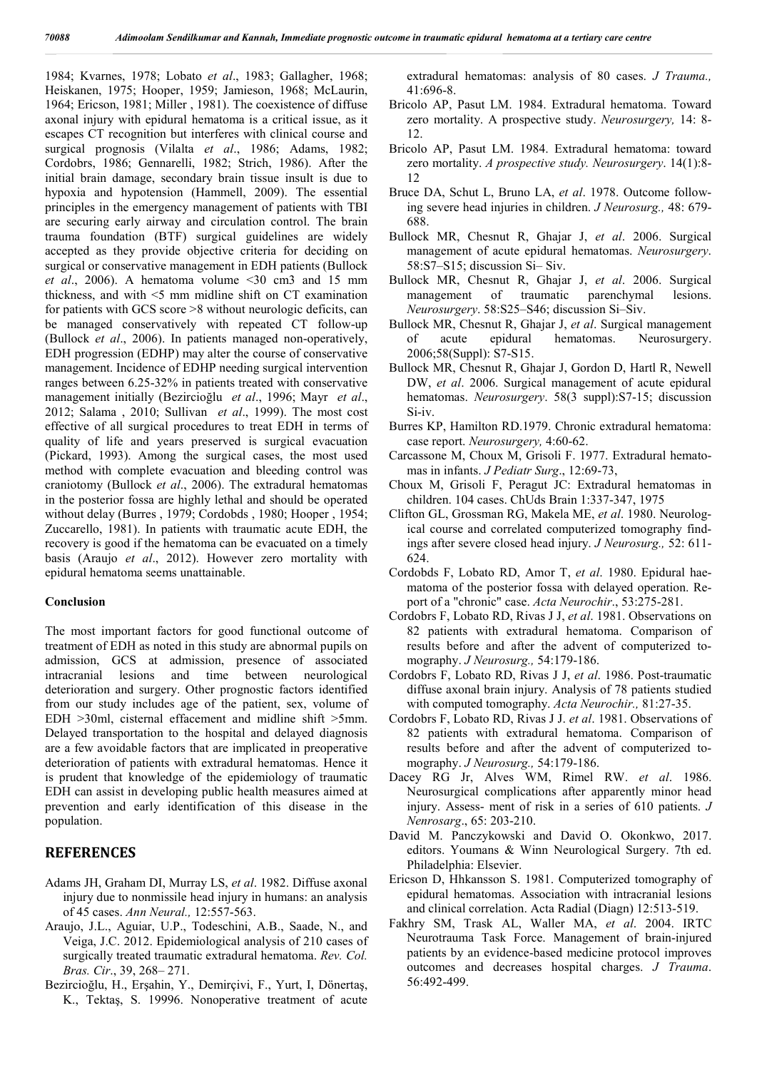1984; Kvarnes, 1978; Lobato *et al*., 1983; Gallagher, 1968; Heiskanen, 1975; Hooper, 1959; Jamieson, 1968; McLaurin, 1964; Ericson, 1981; Miller , 1981). The coexistence of diffuse axonal injury with epidural hematoma is a critical issue, as it escapes CT recognition but interferes with clinical course and surgical prognosis (Vilalta *et al*., 1986; Adams, 1982; Cordobrs, 1986; Gennarelli, 1982; Strich, 1986). After the initial brain damage, secondary brain tissue insult is due to hypoxia and hypotension (Hammell, 2009). The essential principles in the emergency management of patients with TBI are securing early airway and circulation control. The brain trauma foundation (BTF) surgical guidelines are widely accepted as they provide objective criteria for deciding on surgical or conservative management in EDH patients (Bullock *et al*., 2006). A hematoma volume <30 cm3 and 15 mm thickness, and with <5 mm midline shift on CT examination for patients with GCS score >8 without neurologic deficits, can be managed conservatively with repeated CT follow-up (Bullock *et al*., 2006). In patients managed non-operatively, EDH progression (EDHP) may alter the course of conservative management. Incidence of EDHP needing surgical intervention ranges between 6.25-32% in patients treated with conservative management initially (Bezircioğlu *et al*., 1996; Mayr *et al*., 2012; Salama , 2010; Sullivan *et al*., 1999). The most cost effective of all surgical procedures to treat EDH in terms of quality of life and years preserved is surgical evacuation (Pickard, 1993). Among the surgical cases, the most used method with complete evacuation and bleeding control was craniotomy (Bullock *et al*., 2006). The extradural hematomas in the posterior fossa are highly lethal and should be operated without delay (Burres , 1979; Cordobds , 1980; Hooper , 1954; Zuccarello, 1981). In patients with traumatic acute EDH, the recovery is good if the hematoma can be evacuated on a timely basis (Araujo *et al*., 2012). However zero mortality with epidural hematoma seems unattainable.

#### **Conclusion**

The most important factors for good functional outcome of treatment of EDH as noted in this study are abnormal pupils on admission, GCS at admission, presence of associated intracranial lesions and time between neurological deterioration and surgery. Other prognostic factors identified from our study includes age of the patient, sex, volume of EDH >30ml, cisternal effacement and midline shift >5mm. Delayed transportation to the hospital and delayed diagnosis are a few avoidable factors that are implicated in preoperative deterioration of patients with extradural hematomas. Hence it is prudent that knowledge of the epidemiology of traumatic EDH can assist in developing public health measures aimed at prevention and early identification of this disease in the population.

#### **REFERENCES**

- Adams JH, Graham DI, Murray LS, *et al*. 1982. Diffuse axonal injury due to nonmissile head injury in humans: an analysis of 45 cases. *Ann Neural.,* 12:557-563.
- Araujo, J.L., Aguiar, U.P., Todeschini, A.B., Saade, N., and Veiga, J.C. 2012. Epidemiological analysis of 210 cases of surgically treated traumatic extradural hematoma. *Rev. Col. Bras. Cir*., 39, 268– 271.
- Bezircioğlu, H., Erşahin, Y., Demirçivi, F., Yurt, I, Dönertaş, K., Tektaş, S. 19996. Nonoperative treatment of acute

extradural hematomas: analysis of 80 cases. *J Trauma.,* 41:696-8.

- Bricolo AP, Pasut LM. 1984. Extradural hematoma. Toward zero mortality. A prospective study. *Neurosurgery,* 14: 8- 12.
- Bricolo AP, Pasut LM. 1984. Extradural hematoma: toward zero mortality. *A prospective study. Neurosurgery*. 14(1):8- 12
- Bruce DA, Schut L, Bruno LA, *et al*. 1978. Outcome following severe head injuries in children. *J Neurosurg.,* 48: 679- 688.
- Bullock MR, Chesnut R, Ghajar J, *et al*. 2006. Surgical management of acute epidural hematomas. *Neurosurgery*. 58:S7–S15; discussion Si– Siv.
- Bullock MR, Chesnut R, Ghajar J, *et al*. 2006. Surgical management of traumatic parenchymal lesions. *Neurosurgery*. 58:S25–S46; discussion Si–Siv.
- Bullock MR, Chesnut R, Ghajar J, *et al*. Surgical management of acute epidural hematomas. Neurosurgery. 2006;58(Suppl): S7-S15.
- Bullock MR, Chesnut R, Ghajar J, Gordon D, Hartl R, Newell DW, *et al*. 2006. Surgical management of acute epidural hematomas. *Neurosurgery*. 58(3 suppl):S7-15; discussion Si-iv.
- Burres KP, Hamilton RD.1979. Chronic extradural hematoma: case report. *Neurosurgery,* 4:60-62.
- Carcassone M, Choux M, Grisoli F. 1977. Extradural hematomas in infants. *J Pediatr Surg*., 12:69-73,
- Choux M, Grisoli F, Peragut JC: Extradural hematomas in children. 104 cases. ChUds Brain 1:337-347, 1975
- Clifton GL, Grossman RG, Makela ME, *et al*. 1980. Neurological course and correlated computerized tomography findings after severe closed head injury. *J Neurosurg.,* 52: 611- 624.
- Cordobds F, Lobato RD, Amor T, *et al*. 1980. Epidural haematoma of the posterior fossa with delayed operation. Report of a "chronic" case. *Acta Neurochir*., 53:275-281.
- Cordobrs F, Lobato RD, Rivas J J, *et al*. 1981. Observations on 82 patients with extradural hematoma. Comparison of results before and after the advent of computerized tomography. *J Neurosurg.,* 54:179-186.
- Cordobrs F, Lobato RD, Rivas J J, *et al*. 1986. Post-traumatic diffuse axonal brain injury. Analysis of 78 patients studied with computed tomography. *Acta Neurochir.,* 81:27-35.
- Cordobrs F, Lobato RD, Rivas J J. *et al*. 1981. Observations of 82 patients with extradural hematoma. Comparison of results before and after the advent of computerized tomography. *J Neurosurg.,* 54:179-186.
- Dacey RG Jr, Alves WM, Rimel RW. *et al*. 1986. Neurosurgical complications after apparently minor head injury. Assess- ment of risk in a series of 610 patients. *J Nenrosarg*., 65: 203-210.
- David M. Panczykowski and David O. Okonkwo, 2017. editors. Youmans & Winn Neurological Surgery. 7th ed. Philadelphia: Elsevier.
- Ericson D, Hhkansson S. 1981. Computerized tomography of epidural hematomas. Association with intracranial lesions and clinical correlation. Acta Radial (Diagn) 12:513-519.
- Fakhry SM, Trask AL, Waller MA, *et al*. 2004. IRTC Neurotrauma Task Force. Management of brain-injured patients by an evidence-based medicine protocol improves outcomes and decreases hospital charges. *J Trauma*. 56:492-499.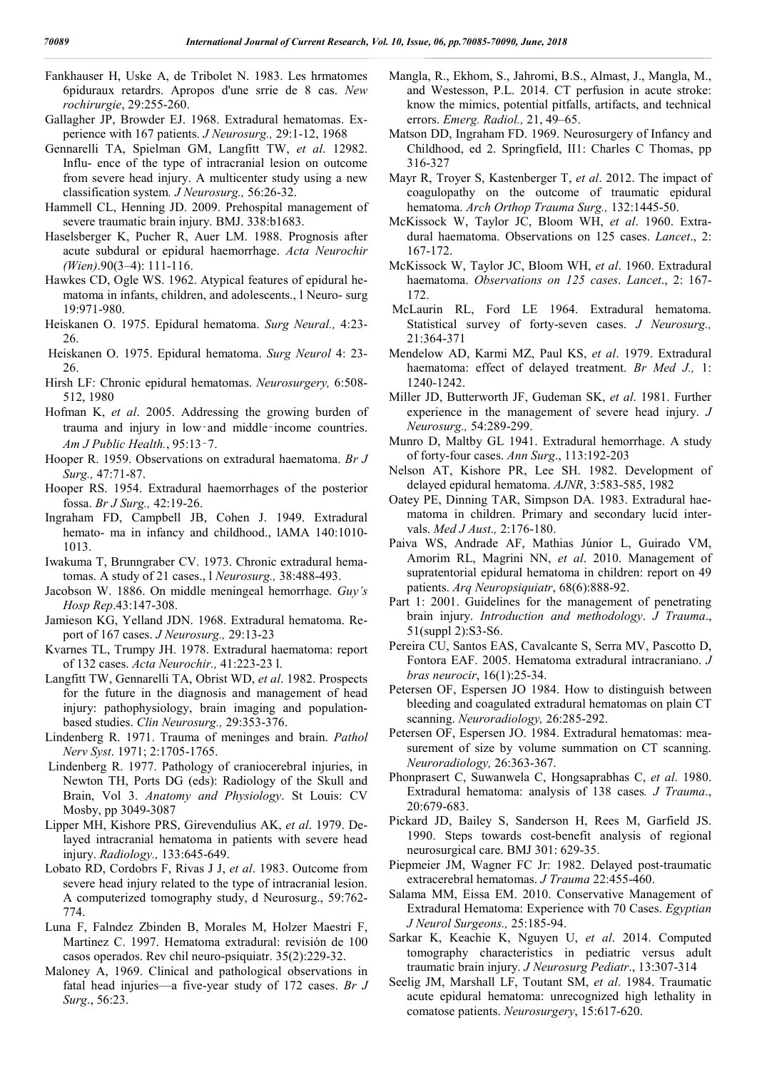Fankhauser H, Uske A, de Tribolet N. 1983. Les hrmatomes 6piduraux retardrs. Apropos d'une srrie de 8 cas. *New rochirurgie*, 29:255-260.

- Gallagher JP, Browder EJ. 1968. Extradural hematomas. Experience with 167 patients. *J Neurosurg.,* 29:1-12, 1968
- Gennarelli TA, Spielman GM, Langfitt TW, *et al*. 12982. Influ- ence of the type of intracranial lesion on outcome from severe head injury. A multicenter study using a new classification system*. J Neurosurg.,* 56:26-32.
- Hammell CL, Henning JD. 2009. Prehospital management of severe traumatic brain injury. BMJ. 338:b1683.
- Haselsberger K, Pucher R, Auer LM. 1988. Prognosis after acute subdural or epidural haemorrhage. *Acta Neurochir (Wien)*.90(3–4): 111-116.
- Hawkes CD, Ogle WS. 1962. Atypical features of epidural hematoma in infants, children, and adolescents., l Neuro- surg 19:971-980.
- Heiskanen O. 1975. Epidural hematoma. *Surg Neural.,* 4:23- 26.
- Heiskanen O. 1975. Epidural hematoma. *Surg Neurol* 4: 23- 26.
- Hirsh LF: Chronic epidural hematomas. *Neurosurgery,* 6:508- 512, 1980
- Hofman K, *et al*. 2005. Addressing the growing burden of trauma and injury in low‑and middle‑income countries. *Am J Public Health.*, 95:13‑7.
- Hooper R. 1959. Observations on extradural haematoma. *Br J Surg.,* 47:71-87.
- Hooper RS. 1954. Extradural haemorrhages of the posterior fossa. *Br J Surg.,* 42:19-26.
- Ingraham FD, Campbell JB, Cohen J. 1949. Extradural hemato- ma in infancy and childhood., lAMA 140:1010-1013.
- Iwakuma T, Brunngraber CV. 1973. Chronic extradural hematomas. A study of 21 cases., l *Neurosurg.,* 38:488-493.
- Jacobson W. 1886. On middle meningeal hemorrhage. *Guy's Hosp Rep*.43:147-308.
- Jamieson KG, Yelland JDN. 1968. Extradural hematoma. Report of 167 cases. *J Neurosurg.,* 29:13-23
- Kvarnes TL, Trumpy JH. 1978. Extradural haematoma: report of 132 cases. *Acta Neurochir.,* 41:223-23 l.
- Langfitt TW, Gennarelli TA, Obrist WD, *et al*. 1982. Prospects for the future in the diagnosis and management of head injury: pathophysiology, brain imaging and populationbased studies. *Clin Neurosurg.,* 29:353-376.
- Lindenberg R. 1971. Trauma of meninges and brain. *Pathol Nerv Syst*. 1971; 2:1705-1765.
- Lindenberg R. 1977. Pathology of craniocerebral injuries, in Newton TH, Ports DG (eds): Radiology of the Skull and Brain, Vol 3. *Anatomy and Physiology*. St Louis: CV Mosby, pp 3049-3087
- Lipper MH, Kishore PRS, Girevendulius AK, *et al*. 1979. Delayed intracranial hematoma in patients with severe head injury. *Radiology.,* 133:645-649.
- Lobato RD, Cordobrs F, Rivas J J, *et al*. 1983. Outcome from severe head injury related to the type of intracranial lesion. A computerized tomography study, d Neurosurg., 59:762- 774.
- Luna F, Falndez Zbinden B, Morales M, Holzer Maestri F, Martinez C. 1997. Hematoma extradural: revisión de 100 casos operados. Rev chil neuro-psiquiatr. 35(2):229-32.
- Maloney A, 1969. Clinical and pathological observations in fatal head injuries—a five-year study of 172 cases. *Br J Surg*., 56:23.
- Mangla, R., Ekhom, S., Jahromi, B.S., Almast, J., Mangla, M., and Westesson, P.L. 2014. CT perfusion in acute stroke: know the mimics, potential pitfalls, artifacts, and technical errors. *Emerg. Radiol.,* 21, 49–65.
- Matson DD, Ingraham FD. 1969. Neurosurgery of Infancy and Childhood, ed 2. Springfield, II1: Charles C Thomas, pp 316-327
- Mayr R, Troyer S, Kastenberger T, *et al*. 2012. The impact of coagulopathy on the outcome of traumatic epidural hematoma. *Arch Orthop Trauma Surg.,* 132:1445-50.
- McKissock W, Taylor JC, Bloom WH, *et al*. 1960. Extradural haematoma. Observations on 125 cases. *Lancet*., 2: 167-172.
- McKissock W, Taylor JC, Bloom WH, *et al*. 1960. Extradural haematoma. *Observations on 125 cases*. *Lancet*., 2: 167- 172.
- McLaurin RL, Ford LE 1964. Extradural hematoma. Statistical survey of forty-seven cases. *J Neurosurg.,* 21:364-371
- Mendelow AD, Karmi MZ, Paul KS, *et al*. 1979. Extradural haematoma: effect of delayed treatment. *Br Med J.,* 1: 1240-1242.
- Miller JD, Butterworth JF, Gudeman SK, *et al*. 1981. Further experience in the management of severe head injury. *J Neurosurg.,* 54:289-299.
- Munro D, Maltby GL 1941. Extradural hemorrhage. A study of forty-four cases. *Ann Surg*., 113:192-203
- Nelson AT, Kishore PR, Lee SH. 1982. Development of delayed epidural hematoma. *AJNR*, 3:583-585, 1982
- Oatey PE, Dinning TAR, Simpson DA. 1983. Extradural haematoma in children. Primary and secondary lucid intervals. *Med J Aust.,* 2:176-180.
- Paiva WS, Andrade AF, Mathias Júnior L, Guirado VM, Amorim RL, Magrini NN, *et al*. 2010. Management of supratentorial epidural hematoma in children: report on 49 patients. *Arq Neuropsiquiatr*, 68(6):888-92.
- Part 1: 2001. Guidelines for the management of penetrating brain injury. *Introduction and methodology*. *J Trauma*., 51(suppl 2):S3-S6.
- Pereira CU, Santos EAS, Cavalcante S, Serra MV, Pascotto D, Fontora EAF. 2005. Hematoma extradural intracraniano. *J bras neurocir*, 16(1):25-34.
- Petersen OF, Espersen JO 1984. How to distinguish between bleeding and coagulated extradural hematomas on plain CT scanning. *Neuroradiology,* 26:285-292.
- Petersen OF, Espersen JO. 1984. Extradural hematomas: measurement of size by volume summation on CT scanning. *Neuroradiology,* 26:363-367.
- Phonprasert C, Suwanwela C, Hongsaprabhas C, *et al*. 1980. Extradural hematoma: analysis of 138 cases*. J Trauma*., 20:679-683.
- Pickard JD, Bailey S, Sanderson H, Rees M, Garfield JS. 1990. Steps towards cost-benefit analysis of regional neurosurgical care. BMJ 301: 629-35.
- Piepmeier JM, Wagner FC Jr: 1982. Delayed post-traumatic extracerebral hematomas. *J Trauma* 22:455-460.
- Salama MM, Eissa EM. 2010. Conservative Management of Extradural Hematoma: Experience with 70 Cases. *Egyptian J Neurol Surgeons.,* 25:185-94.
- Sarkar K, Keachie K, Nguyen U, *et al*. 2014. Computed tomography characteristics in pediatric versus adult traumatic brain injury. *J Neurosurg Pediatr*., 13:307-314
- Seelig JM, Marshall LF, Toutant SM, *et al*. 1984. Traumatic acute epidural hematoma: unrecognized high lethality in comatose patients. *Neurosurgery*, 15:617-620.